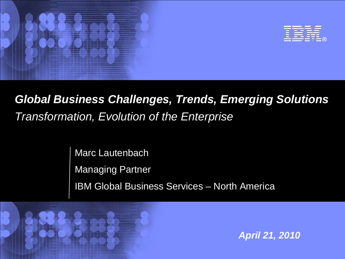

# *Global Business Challenges, Trends, Emerging Solutions Transformation, Evolution of the Enterprise*

Marc Lautenbach Managing Partner IBM Global Business Services – North America



*April 21, 2010*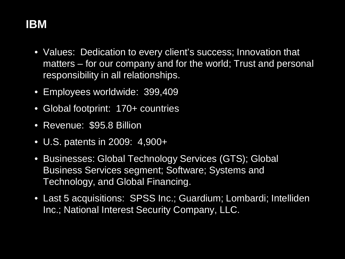# **IBM**

- Values: Dedication to every client's success; Innovation that matters – for our company and for the world; Trust and personal responsibility in all relationships.
- Employees worldwide: 399,409
- Global footprint: 170+ countries
- Revenue: \$95.8 Billion
- U.S. patents in 2009: 4,900+
- Businesses: Global Technology Services (GTS); Global Business Services segment; Software; Systems and Technology, and Global Financing.
- Last 5 acquisitions: SPSS Inc.; Guardium; Lombardi; Intelliden Inc.; National Interest Security Company, LLC.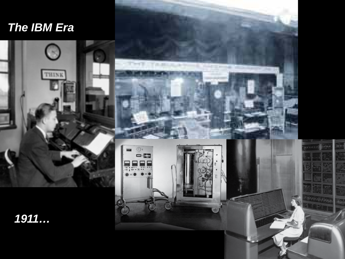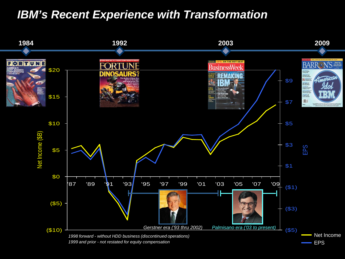### *IBM's Recent Experience with Transformation*

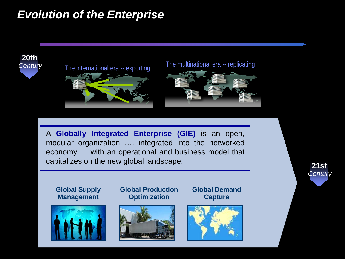## *Evolution of the Enterprise*

### **20th** *Century*





A **Globally Integrated Enterprise (GIE)** is an open, modular organization …. integrated into the networked economy … with an operational and business model that capitalizes on the new global landscape.

**Global Supply Management**



**Global Production Optimization**



**Global Demand Capture**



**21st** *Century*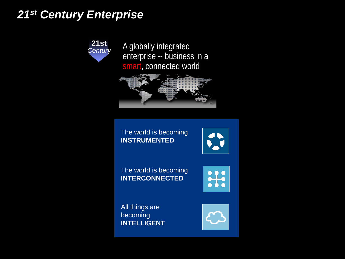### *21st Century Enterprise*

**21st** *Century*

A globally integrated enterprise -- business in a smart, connected world



The world is becoming **INSTRUMENTED**



The world is becoming **INTERCONNECTED**



All things are becoming **INTELLIGENT**

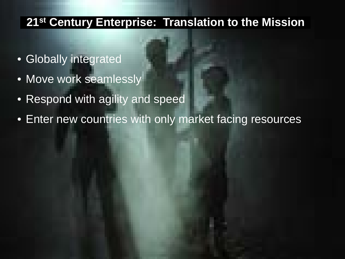### **21st Century Enterprise: Translation to the Mission**

- Globally integrated
- Move work seamlessly
- Respond with agility and speed
- Enter new countries with only market facing resources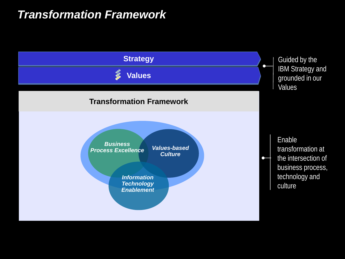### *Transformation Framework*

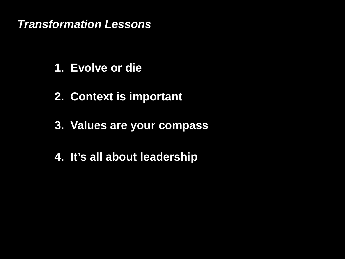### *Transformation Lessons*

- **1. Evolve or die**
- **2. Context is important**
- **3. Values are your compass**
- **4. It's all about leadership**